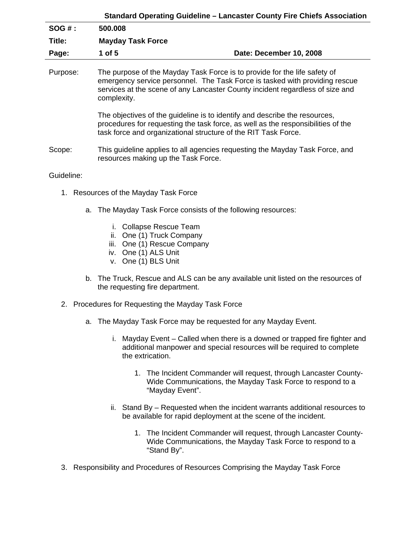| <b>Standard Operating Guideline - Lancaster County Fire Chiefs Association</b> |                                                                                                                                                                                                                                                          |                         |
|--------------------------------------------------------------------------------|----------------------------------------------------------------------------------------------------------------------------------------------------------------------------------------------------------------------------------------------------------|-------------------------|
| $SOG#$ :                                                                       | 500.008                                                                                                                                                                                                                                                  |                         |
| Title:                                                                         | <b>Mayday Task Force</b>                                                                                                                                                                                                                                 |                         |
| Page:                                                                          | 1 of 5                                                                                                                                                                                                                                                   | Date: December 10, 2008 |
| Purpose:                                                                       | The purpose of the Mayday Task Force is to provide for the life safety of<br>emergency service personnel. The Task Force is tasked with providing rescue<br>services at the scene of any Lancaster County incident regardless of size and<br>complexity. |                         |
|                                                                                | The objectives of the guideline is to identify and describe the resources,<br>procedures for requesting the task force, as well as the responsibilities of the<br>task force and organizational structure of the RIT Task Force.                         |                         |
| Scope:                                                                         | This guideline applies to all agencies requesting the Mayday Task Force, and<br>resources making up the Task Force.                                                                                                                                      |                         |
| Guideline:                                                                     |                                                                                                                                                                                                                                                          |                         |

- 1. Resources of the Mayday Task Force
	- a. The Mayday Task Force consists of the following resources:
		- i. Collapse Rescue Team
		- ii. One (1) Truck Company
		- iii. One (1) Rescue Company
		- iv. One (1) ALS Unit
		- v. One (1) BLS Unit
	- b. The Truck, Rescue and ALS can be any available unit listed on the resources of the requesting fire department.
- 2. Procedures for Requesting the Mayday Task Force
	- a. The Mayday Task Force may be requested for any Mayday Event.
		- i. Mayday Event Called when there is a downed or trapped fire fighter and additional manpower and special resources will be required to complete the extrication.
			- 1. The Incident Commander will request, through Lancaster County-Wide Communications, the Mayday Task Force to respond to a "Mayday Event".
		- ii. Stand By Requested when the incident warrants additional resources to be available for rapid deployment at the scene of the incident.
			- 1. The Incident Commander will request, through Lancaster County-Wide Communications, the Mayday Task Force to respond to a "Stand By".
- 3. Responsibility and Procedures of Resources Comprising the Mayday Task Force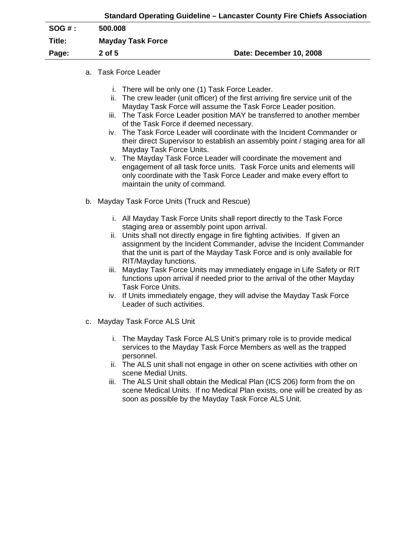|                          | Standard Operating Guideline – Lancaster County Fire Chiefs Association |
|--------------------------|-------------------------------------------------------------------------|
| 500.008                  |                                                                         |
| <b>Mayday Task Force</b> |                                                                         |
| $2$ of $5$               | Date: December 10, 2008                                                 |
|                          |                                                                         |

## a. Task Force Leader

- i. There will be only one (1) Task Force Leader.
- ii. The crew leader (unit officer) of the first arriving fire service unit of the Mayday Task Force will assume the Task Force Leader position.
- iii. The Task Force Leader position MAY be transferred to another member of the Task Force if deemed necessary.
- iv. The Task Force Leader will coordinate with the Incident Commander or their direct Supervisor to establish an assembly point / staging area for all Mayday Task Force Units.
- v. The Mayday Task Force Leader will coordinate the movement and engagement of all task force units. Task Force units and elements will only coordinate with the Task Force Leader and make every effort to maintain the unity of command.
- b. Mayday Task Force Units (Truck and Rescue)
	- i. All Mayday Task Force Units shall report directly to the Task Force staging area or assembly point upon arrival.
	- ii. Units shall not directly engage in fire fighting activities. If given an assignment by the Incident Commander, advise the Incident Commander that the unit is part of the Mayday Task Force and is only available for RIT/Mayday functions.
	- iii. Mayday Task Force Units may immediately engage in Life Safety or RIT functions upon arrival if needed prior to the arrival of the other Mayday Task Force Units.
	- iv. If Units immediately engage, they will advise the Mayday Task Force Leader of such activities.
- c. Mayday Task Force ALS Unit
	- i. The Mayday Task Force ALS Unit's primary role is to provide medical services to the Mayday Task Force Members as well as the trapped personnel.
	- ii. The ALS unit shall not engage in other on scene activities with other on scene Medial Units.
	- iii. The ALS Unit shall obtain the Medical Plan (ICS 206) form from the on scene Medical Units. If no Medical Plan exists, one will be created by as soon as possible by the Mayday Task Force ALS Unit.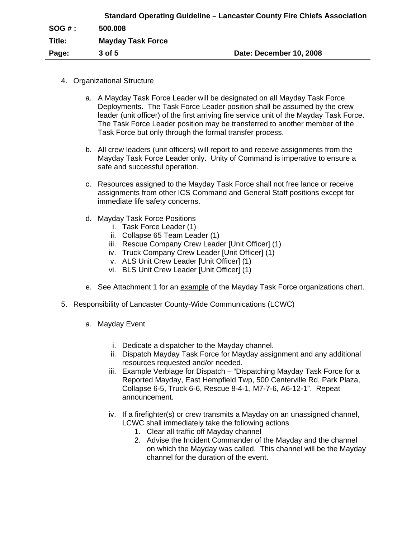|         |                          | Standard Operating Guideline – Lancaster County Fire Chiefs Association |
|---------|--------------------------|-------------------------------------------------------------------------|
| SOG # : | 500.008                  |                                                                         |
| Title:  | <b>Mayday Task Force</b> |                                                                         |
| Page:   | $3$ of $5$               | Date: December 10, 2008                                                 |

- 4. Organizational Structure
	- a. A Mayday Task Force Leader will be designated on all Mayday Task Force Deployments. The Task Force Leader position shall be assumed by the crew leader (unit officer) of the first arriving fire service unit of the Mayday Task Force. The Task Force Leader position may be transferred to another member of the Task Force but only through the formal transfer process.
	- b. All crew leaders (unit officers) will report to and receive assignments from the Mayday Task Force Leader only. Unity of Command is imperative to ensure a safe and successful operation.
	- c. Resources assigned to the Mayday Task Force shall not free lance or receive assignments from other ICS Command and General Staff positions except for immediate life safety concerns.
	- d. Mayday Task Force Positions
		- i. Task Force Leader (1)
		- ii. Collapse 65 Team Leader (1)
		- iii. Rescue Company Crew Leader [Unit Officer] (1)
		- iv. Truck Company Crew Leader [Unit Officer] (1)
		- v. ALS Unit Crew Leader [Unit Officer] (1)
		- vi. BLS Unit Crew Leader [Unit Officer] (1)
	- e. See Attachment 1 for an example of the Mayday Task Force organizations chart.
- 5. Responsibility of Lancaster County-Wide Communications (LCWC)
	- a. Mayday Event
		- i. Dedicate a dispatcher to the Mayday channel.
		- ii. Dispatch Mayday Task Force for Mayday assignment and any additional resources requested and/or needed.
		- iii. Example Verbiage for Dispatch "Dispatching Mayday Task Force for a Reported Mayday, East Hempfield Twp, 500 Centerville Rd, Park Plaza, Collapse 6-5, Truck 6-6, Rescue 8-4-1, M7-7-6, A6-12-1". Repeat announcement.
		- iv. If a firefighter(s) or crew transmits a Mayday on an unassigned channel, LCWC shall immediately take the following actions
			- 1. Clear all traffic off Mayday channel
			- 2. Advise the Incident Commander of the Mayday and the channel on which the Mayday was called. This channel will be the Mayday channel for the duration of the event.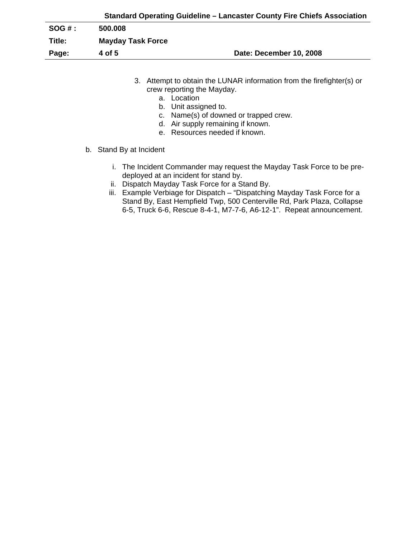|          | Standard Operating Guideline – Lancaster County Fire Chiefs Association |                         |  |
|----------|-------------------------------------------------------------------------|-------------------------|--|
| $SOG#$ : | 500.008                                                                 |                         |  |
| Title:   | <b>Mayday Task Force</b>                                                |                         |  |
| Page:    | 4 of 5                                                                  | Date: December 10, 2008 |  |

- 3. Attempt to obtain the LUNAR information from the firefighter(s) or crew reporting the Mayday.
	- a. Location
	- b. Unit assigned to.
	- c. Name(s) of downed or trapped crew.
	- d. Air supply remaining if known.
	- e. Resources needed if known.
- b. Stand By at Incident
	- i. The Incident Commander may request the Mayday Task Force to be predeployed at an incident for stand by.
	- ii. Dispatch Mayday Task Force for a Stand By.
	- iii. Example Verbiage for Dispatch "Dispatching Mayday Task Force for a Stand By, East Hempfield Twp, 500 Centerville Rd, Park Plaza, Collapse 6-5, Truck 6-6, Rescue 8-4-1, M7-7-6, A6-12-1". Repeat announcement.